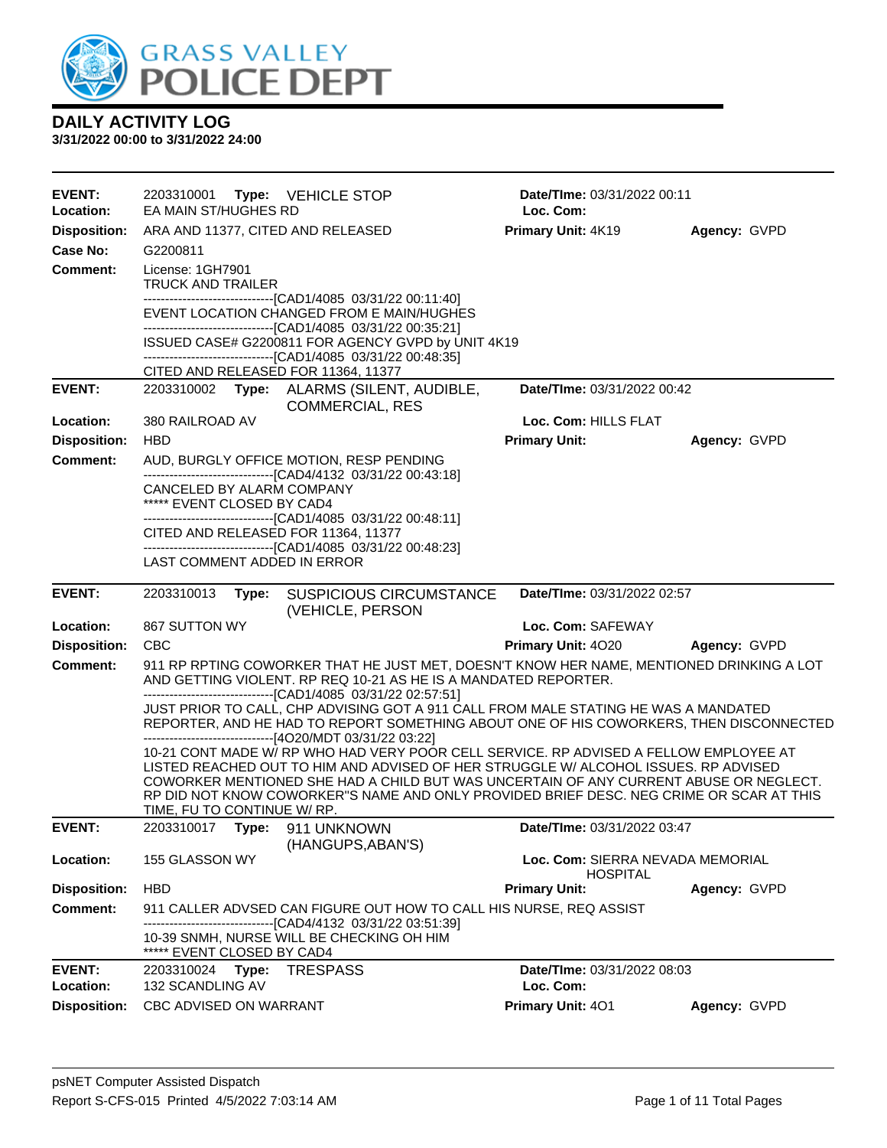

| <b>EVENT:</b>                    | 2203310001                  | Type: VEHICLE STOP                                                                                                                                                               | Date/TIme: 03/31/2022 00:11                         |              |
|----------------------------------|-----------------------------|----------------------------------------------------------------------------------------------------------------------------------------------------------------------------------|-----------------------------------------------------|--------------|
| Location:                        | EA MAIN ST/HUGHES RD        |                                                                                                                                                                                  | Loc. Com:                                           |              |
| <b>Disposition:</b><br>Case No:  | G2200811                    | ARA AND 11377, CITED AND RELEASED                                                                                                                                                | Primary Unit: 4K19                                  | Agency: GVPD |
| <b>Comment:</b>                  | License: 1GH7901            |                                                                                                                                                                                  |                                                     |              |
|                                  | <b>TRUCK AND TRAILER</b>    |                                                                                                                                                                                  |                                                     |              |
|                                  |                             | ------------------------------[CAD1/4085 03/31/22 00:11:40]                                                                                                                      |                                                     |              |
|                                  |                             | EVENT LOCATION CHANGED FROM E MAIN/HUGHES<br>-------------------------------[CAD1/4085 03/31/22 00:35:21]                                                                        |                                                     |              |
|                                  |                             | ISSUED CASE# G2200811 FOR AGENCY GVPD by UNIT 4K19                                                                                                                               |                                                     |              |
|                                  |                             | -------------------------------[CAD1/4085 03/31/22 00:48:35]<br>CITED AND RELEASED FOR 11364, 11377                                                                              |                                                     |              |
| <b>EVENT:</b>                    |                             | 2203310002 Type: ALARMS (SILENT, AUDIBLE,                                                                                                                                        | Date/TIme: 03/31/2022 00:42                         |              |
|                                  |                             | <b>COMMERCIAL, RES</b>                                                                                                                                                           |                                                     |              |
| Location:                        | 380 RAILROAD AV             |                                                                                                                                                                                  | Loc. Com: HILLS FLAT                                |              |
| <b>Disposition:</b>              | <b>HBD</b>                  |                                                                                                                                                                                  | <b>Primary Unit:</b>                                | Agency: GVPD |
| <b>Comment:</b>                  |                             | AUD, BURGLY OFFICE MOTION, RESP PENDING                                                                                                                                          |                                                     |              |
|                                  | CANCELED BY ALARM COMPANY   | ---------------------------------[CAD4/4132 03/31/22 00:43:18]                                                                                                                   |                                                     |              |
|                                  | ***** EVENT CLOSED BY CAD4  |                                                                                                                                                                                  |                                                     |              |
|                                  |                             | -------------------------------[CAD1/4085 03/31/22 00:48:11]<br>CITED AND RELEASED FOR 11364, 11377                                                                              |                                                     |              |
|                                  |                             | --------------------------------[CAD1/4085 03/31/22 00:48:23]                                                                                                                    |                                                     |              |
|                                  | LAST COMMENT ADDED IN ERROR |                                                                                                                                                                                  |                                                     |              |
| <b>EVENT:</b>                    | 2203310013<br>Type:         | <b>SUSPICIOUS CIRCUMSTANCE</b>                                                                                                                                                   | Date/TIme: 03/31/2022 02:57                         |              |
|                                  | 867 SUTTON WY               | (VEHICLE, PERSON                                                                                                                                                                 |                                                     |              |
| Location:<br><b>Disposition:</b> | <b>CBC</b>                  |                                                                                                                                                                                  | Loc. Com: SAFEWAY<br>Primary Unit: 4020             |              |
| <b>Comment:</b>                  |                             | 911 RP RPTING COWORKER THAT HE JUST MET, DOESN'T KNOW HER NAME, MENTIONED DRINKING A LOT                                                                                         |                                                     | Agency: GVPD |
|                                  |                             | AND GETTING VIOLENT. RP REQ 10-21 AS HE IS A MANDATED REPORTER.<br>-------------------------------[CAD1/4085 03/31/22 02:57:51]                                                  |                                                     |              |
|                                  |                             | JUST PRIOR TO CALL, CHP ADVISING GOT A 911 CALL FROM MALE STATING HE WAS A MANDATED<br>REPORTER, AND HE HAD TO REPORT SOMETHING ABOUT ONE OF HIS COWORKERS, THEN DISCONNECTED    |                                                     |              |
|                                  |                             | ------------------------------[4O20/MDT 03/31/22 03:22]<br>10-21 CONT MADE W/ RP WHO HAD VERY POOR CELL SERVICE. RP ADVISED A FELLOW EMPLOYEE AT                                 |                                                     |              |
|                                  |                             | LISTED REACHED OUT TO HIM AND ADVISED OF HER STRUGGLE W/ ALCOHOL ISSUES. RP ADVISED                                                                                              |                                                     |              |
|                                  |                             | COWORKER MENTIONED SHE HAD A CHILD BUT WAS UNCERTAIN OF ANY CURRENT ABUSE OR NEGLECT.<br>RP DID NOT KNOW COWORKER"S NAME AND ONLY PROVIDED BRIEF DESC. NEG CRIME OR SCAR AT THIS |                                                     |              |
|                                  | TIME, FU TO CONTINUE W/ RP. |                                                                                                                                                                                  |                                                     |              |
| <b>EVENT:</b>                    | 2203310017 Type:            | 911 UNKNOWN<br>(HANGUPS, ABAN'S)                                                                                                                                                 | Date/TIme: 03/31/2022 03:47                         |              |
| Location:                        | 155 GLASSON WY              |                                                                                                                                                                                  | Loc. Com: SIERRA NEVADA MEMORIAL<br><b>HOSPITAL</b> |              |
| <b>Disposition:</b>              | <b>HBD</b>                  |                                                                                                                                                                                  | <b>Primary Unit:</b>                                | Agency: GVPD |
| <b>Comment:</b>                  |                             | 911 CALLER ADVSED CAN FIGURE OUT HOW TO CALL HIS NURSE, REQ ASSIST                                                                                                               |                                                     |              |
|                                  | ***** EVENT CLOSED BY CAD4  | ---[CAD4/4132 03/31/22 03:51:39]<br>10-39 SNMH, NURSE WILL BE CHECKING OH HIM                                                                                                    |                                                     |              |
| <b>EVENT:</b>                    | 2203310024<br>Type:         | <b>TRESPASS</b>                                                                                                                                                                  | Date/TIme: 03/31/2022 08:03                         |              |
| Location:                        | 132 SCANDLING AV            |                                                                                                                                                                                  | Loc. Com:                                           |              |
| <b>Disposition:</b>              | CBC ADVISED ON WARRANT      |                                                                                                                                                                                  | Primary Unit: 401                                   | Agency: GVPD |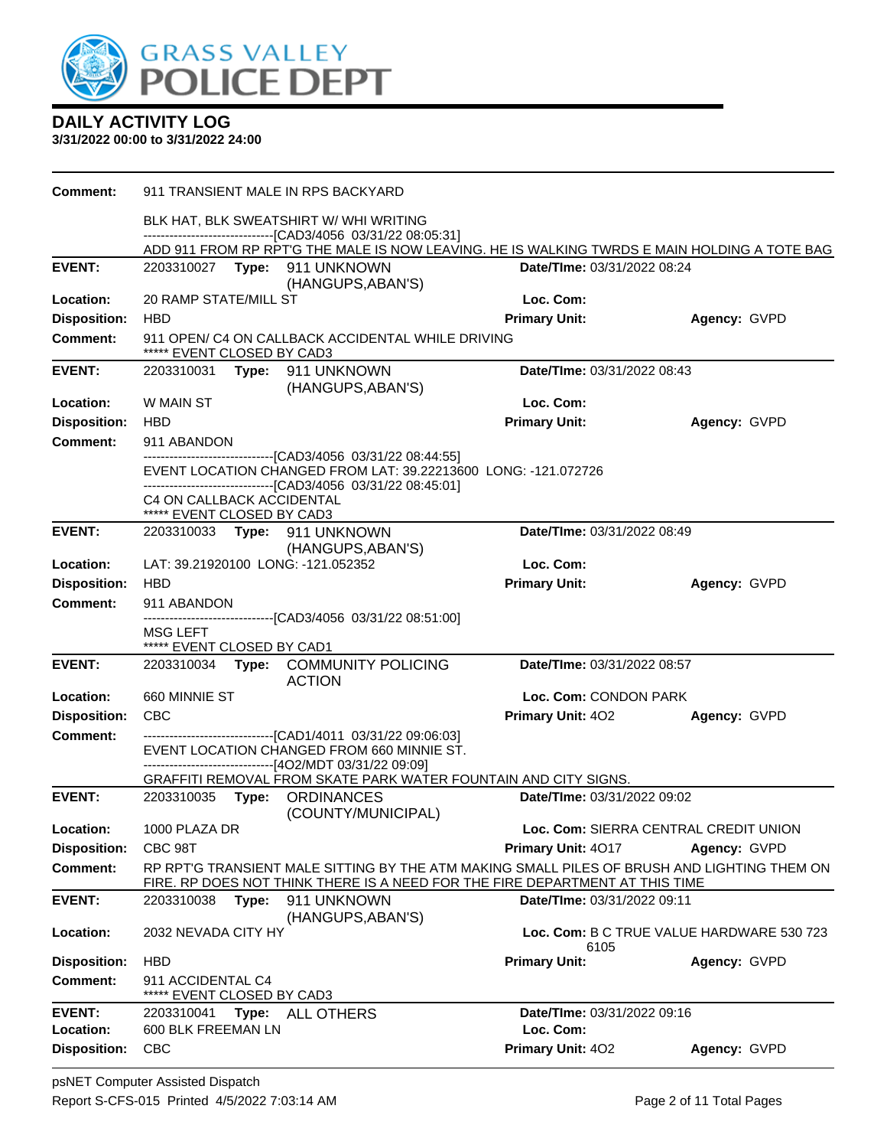

| <b>Comment:</b>     |                                                         |       | 911 TRANSIENT MALE IN RPS BACKYARD                                                                                                                                     |                                                                                                                                                                             |                                           |
|---------------------|---------------------------------------------------------|-------|------------------------------------------------------------------------------------------------------------------------------------------------------------------------|-----------------------------------------------------------------------------------------------------------------------------------------------------------------------------|-------------------------------------------|
|                     |                                                         |       | BLK HAT, BLK SWEATSHIRT W/ WHI WRITING<br>-------------------------------[CAD3/4056_03/31/22_08:05:31]                                                                 |                                                                                                                                                                             |                                           |
|                     |                                                         |       |                                                                                                                                                                        | ADD 911 FROM RP RPT'G THE MALE IS NOW LEAVING. HE IS WALKING TWRDS E MAIN HOLDING A TOTE BAG                                                                                |                                           |
| <b>EVENT:</b>       |                                                         |       | 2203310027    Type: 911    UNKNOWN<br>(HANGUPS, ABAN'S)                                                                                                                | Date/TIme: 03/31/2022 08:24                                                                                                                                                 |                                           |
| Location:           | 20 RAMP STATE/MILL ST                                   |       |                                                                                                                                                                        | Loc. Com:                                                                                                                                                                   |                                           |
| <b>Disposition:</b> | <b>HBD</b>                                              |       |                                                                                                                                                                        | <b>Primary Unit:</b>                                                                                                                                                        | Agency: GVPD                              |
| <b>Comment:</b>     | ***** EVENT CLOSED BY CAD3                              |       | 911 OPEN/ C4 ON CALLBACK ACCIDENTAL WHILE DRIVING                                                                                                                      |                                                                                                                                                                             |                                           |
| <b>EVENT:</b>       |                                                         |       | 2203310031 Type: 911 UNKNOWN<br>(HANGUPS, ABAN'S)                                                                                                                      | Date/TIme: 03/31/2022 08:43                                                                                                                                                 |                                           |
| Location:           | W MAIN ST                                               |       |                                                                                                                                                                        | Loc. Com:                                                                                                                                                                   |                                           |
| <b>Disposition:</b> | <b>HBD</b>                                              |       |                                                                                                                                                                        | <b>Primary Unit:</b>                                                                                                                                                        | Agency: GVPD                              |
| <b>Comment:</b>     | 911 ABANDON                                             |       |                                                                                                                                                                        |                                                                                                                                                                             |                                           |
|                     |                                                         |       | --------------------------------[CAD3/4056 03/31/22 08:44:55]<br>--------------------------------[CAD3/4056 03/31/22 08:45:01]                                         | EVENT LOCATION CHANGED FROM LAT: 39.22213600 LONG: -121.072726                                                                                                              |                                           |
|                     | C4 ON CALLBACK ACCIDENTAL<br>***** EVENT CLOSED BY CAD3 |       |                                                                                                                                                                        |                                                                                                                                                                             |                                           |
| <b>EVENT:</b>       |                                                         |       | 2203310033 Type: 911 UNKNOWN                                                                                                                                           | Date/TIme: 03/31/2022 08:49                                                                                                                                                 |                                           |
| Location:           |                                                         |       | (HANGUPS, ABAN'S)<br>LAT: 39.21920100 LONG: -121.052352                                                                                                                | Loc. Com:                                                                                                                                                                   |                                           |
| <b>Disposition:</b> | <b>HBD</b>                                              |       |                                                                                                                                                                        | <b>Primary Unit:</b>                                                                                                                                                        | Agency: GVPD                              |
| <b>Comment:</b>     | 911 ABANDON                                             |       |                                                                                                                                                                        |                                                                                                                                                                             |                                           |
|                     |                                                         |       | --------------------------------[CAD3/4056 03/31/22 08:51:00]                                                                                                          |                                                                                                                                                                             |                                           |
|                     | MSG LEFT<br>***** EVENT CLOSED BY CAD1                  |       |                                                                                                                                                                        |                                                                                                                                                                             |                                           |
| <b>EVENT:</b>       | 2203310034                                              |       | Type: COMMUNITY POLICING<br><b>ACTION</b>                                                                                                                              | Date/TIme: 03/31/2022 08:57                                                                                                                                                 |                                           |
| Location:           | 660 MINNIE ST                                           |       |                                                                                                                                                                        | Loc. Com: CONDON PARK                                                                                                                                                       |                                           |
| <b>Disposition:</b> | CBC                                                     |       |                                                                                                                                                                        | <b>Primary Unit: 402</b>                                                                                                                                                    | Agency: GVPD                              |
| <b>Comment:</b>     |                                                         |       | --------------------------------[CAD1/4011 03/31/22 09:06:03]<br>EVENT LOCATION CHANGED FROM 660 MINNIE ST.<br>-------------------------------[4O2/MDT 03/31/22 09:09] |                                                                                                                                                                             |                                           |
|                     |                                                         |       |                                                                                                                                                                        | GRAFFITI REMOVAL FROM SKATE PARK WATER FOUNTAIN AND CITY SIGNS.                                                                                                             |                                           |
| <b>EVENT:</b>       |                                                         |       | 2203310035 Type: ORDINANCES<br>(COUNTY/MUNICIPAL)                                                                                                                      | Date/TIme: 03/31/2022 09:02                                                                                                                                                 |                                           |
| Location:           | 1000 PLAZA DR                                           |       |                                                                                                                                                                        |                                                                                                                                                                             | Loc. Com: SIERRA CENTRAL CREDIT UNION     |
| <b>Disposition:</b> | CBC 98T                                                 |       |                                                                                                                                                                        | <b>Primary Unit: 4017</b>                                                                                                                                                   | Agency: GVPD                              |
| <b>Comment:</b>     |                                                         |       |                                                                                                                                                                        | RP RPT'G TRANSIENT MALE SITTING BY THE ATM MAKING SMALL PILES OF BRUSH AND LIGHTING THEM ON<br>FIRE. RP DOES NOT THINK THERE IS A NEED FOR THE FIRE DEPARTMENT AT THIS TIME |                                           |
| <b>EVENT:</b>       | 2203310038                                              | Type: | 911 UNKNOWN<br>(HANGUPS, ABAN'S)                                                                                                                                       | Date/TIme: 03/31/2022 09:11                                                                                                                                                 |                                           |
| Location:           | 2032 NEVADA CITY HY                                     |       |                                                                                                                                                                        | 6105                                                                                                                                                                        | Loc. Com: B C TRUE VALUE HARDWARE 530 723 |
| <b>Disposition:</b> | <b>HBD</b>                                              |       |                                                                                                                                                                        | <b>Primary Unit:</b>                                                                                                                                                        | Agency: GVPD                              |
| <b>Comment:</b>     | 911 ACCIDENTAL C4                                       |       | EVENT CLOSED BY CAD3                                                                                                                                                   |                                                                                                                                                                             |                                           |
| <b>EVENT:</b>       | 2203310041                                              | Type: | <b>ALL OTHERS</b>                                                                                                                                                      | Date/TIme: 03/31/2022 09:16                                                                                                                                                 |                                           |
| Location:           | 600 BLK FREEMAN LN                                      |       |                                                                                                                                                                        | Loc. Com:                                                                                                                                                                   |                                           |
| <b>Disposition:</b> | <b>CBC</b>                                              |       |                                                                                                                                                                        | Primary Unit: 402                                                                                                                                                           | Agency: GVPD                              |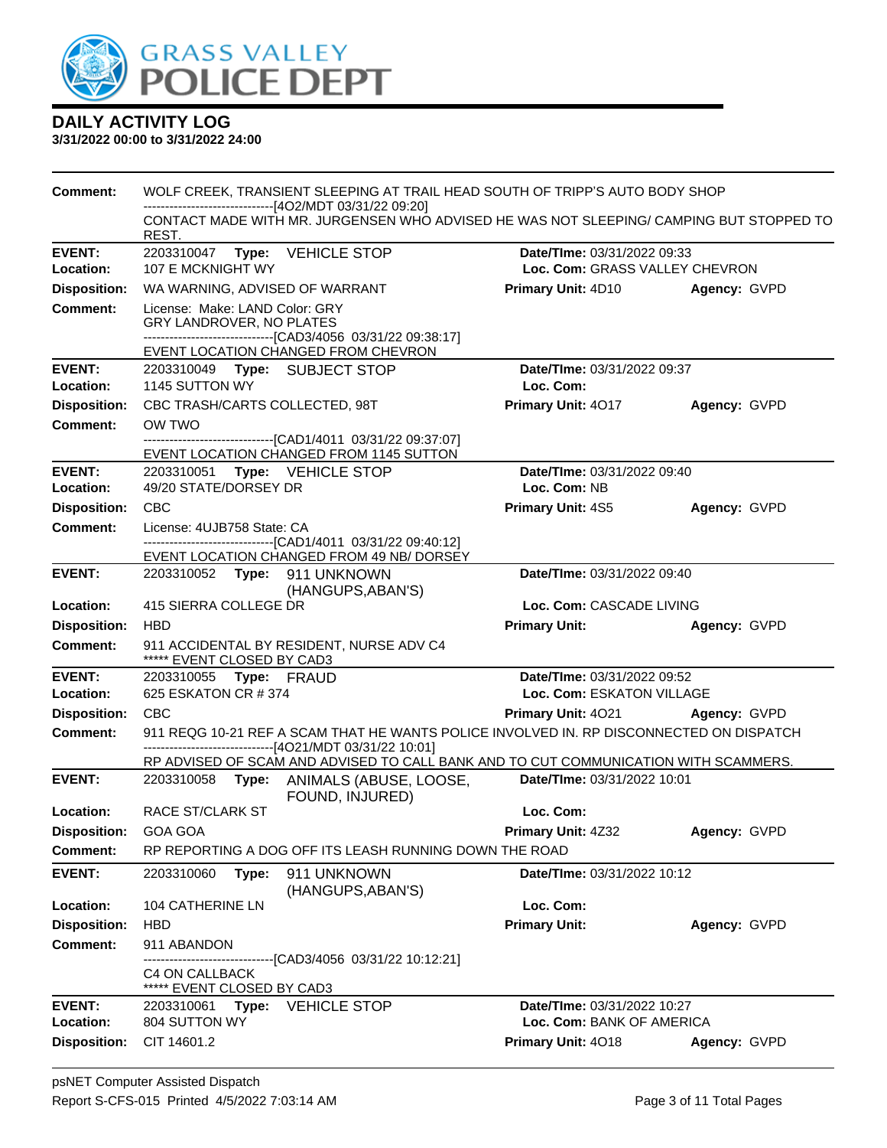

| Comment:                    | WOLF CREEK, TRANSIENT SLEEPING AT TRAIL HEAD SOUTH OF TRIPP'S AUTO BODY SHOP<br>------------------------------[4O2/MDT 03/31/22 09:20] |                                                                                                                                                    |                                 |              |  |
|-----------------------------|----------------------------------------------------------------------------------------------------------------------------------------|----------------------------------------------------------------------------------------------------------------------------------------------------|---------------------------------|--------------|--|
|                             | REST.                                                                                                                                  | CONTACT MADE WITH MR. JURGENSEN WHO ADVISED HE WAS NOT SLEEPING/ CAMPING BUT STOPPED TO                                                            |                                 |              |  |
| <b>EVENT:</b>               | 2203310047                                                                                                                             | Type: VEHICLE STOP                                                                                                                                 | Date/TIme: 03/31/2022 09:33     |              |  |
| Location:                   | 107 E MCKNIGHT WY                                                                                                                      |                                                                                                                                                    | Loc. Com: GRASS VALLEY CHEVRON  |              |  |
| <b>Disposition:</b>         | WA WARNING, ADVISED OF WARRANT                                                                                                         |                                                                                                                                                    | Primary Unit: 4D10 Agency: GVPD |              |  |
| <b>Comment:</b>             | License: Make: LAND Color: GRY<br>GRY LANDROVER, NO PLATES                                                                             | -------------------------------[CAD3/4056_03/31/22_09:38:17]<br>EVENT LOCATION CHANGED FROM CHEVRON                                                |                                 |              |  |
| <b>EVENT:</b>               | 2203310049 Type: SUBJECT STOP                                                                                                          |                                                                                                                                                    | Date/TIme: 03/31/2022 09:37     |              |  |
| Location:                   | 1145 SUTTON WY                                                                                                                         |                                                                                                                                                    | Loc. Com:                       |              |  |
| <b>Disposition:</b>         | CBC TRASH/CARTS COLLECTED, 98T                                                                                                         |                                                                                                                                                    | Primary Unit: 4017              | Agency: GVPD |  |
| <b>Comment:</b>             | OW TWO                                                                                                                                 |                                                                                                                                                    |                                 |              |  |
|                             |                                                                                                                                        | -------------------------------[CAD1/4011 03/31/22 09:37:07]<br>EVENT LOCATION CHANGED FROM 1145 SUTTON                                            |                                 |              |  |
| <b>EVENT:</b>               | 2203310051 Type: VEHICLE STOP                                                                                                          |                                                                                                                                                    | Date/TIme: 03/31/2022 09:40     |              |  |
| Location:                   | 49/20 STATE/DORSEY DR                                                                                                                  |                                                                                                                                                    | Loc. Com: NB                    |              |  |
| <b>Disposition:</b>         | <b>CBC</b>                                                                                                                             |                                                                                                                                                    | <b>Primary Unit: 4S5</b>        | Agency: GVPD |  |
| Comment:                    | License: 4UJB758 State: CA                                                                                                             | -------------------------------[CAD1/4011_03/31/22_09:40:12]                                                                                       |                                 |              |  |
| <b>EVENT:</b>               |                                                                                                                                        | EVENT LOCATION CHANGED FROM 49 NB/ DORSEY                                                                                                          | Date/TIme: 03/31/2022 09:40     |              |  |
|                             | 2203310052 Type: 911 UNKNOWN<br>(HANGUPS, ABAN'S)                                                                                      |                                                                                                                                                    |                                 |              |  |
| Location:                   | 415 SIERRA COLLEGE DR                                                                                                                  |                                                                                                                                                    | Loc. Com: CASCADE LIVING        |              |  |
| <b>Disposition:</b>         | <b>HBD</b>                                                                                                                             |                                                                                                                                                    | <b>Primary Unit:</b>            | Agency: GVPD |  |
| <b>Comment:</b>             | ***** EVENT CLOSED BY CAD3                                                                                                             | 911 ACCIDENTAL BY RESIDENT, NURSE ADV C4                                                                                                           |                                 |              |  |
| <b>EVENT:</b>               | 2203310055    Type: FRAUD                                                                                                              |                                                                                                                                                    | Date/TIme: 03/31/2022 09:52     |              |  |
| Location:                   | 625 ESKATON CR # 374                                                                                                                   |                                                                                                                                                    | Loc. Com: ESKATON VILLAGE       |              |  |
| <b>Disposition:</b>         | <b>CBC</b>                                                                                                                             |                                                                                                                                                    | Primary Unit: 4021 Agency: GVPD |              |  |
| <b>Comment:</b>             |                                                                                                                                        | 911 REQG 10-21 REF A SCAM THAT HE WANTS POLICE INVOLVED IN. RP DISCONNECTED ON DISPATCH<br>------------------------------[4O21/MDT 03/31/22 10:01] |                                 |              |  |
|                             |                                                                                                                                        | RP ADVISED OF SCAM AND ADVISED TO CALL BANK AND TO CUT COMMUNICATION WITH SCAMMERS.                                                                |                                 |              |  |
| <b>EVENT:</b>               |                                                                                                                                        | 2203310058 Type: ANIMALS (ABUSE, LOOSE,<br>FOUND, INJURED)                                                                                         | Date/TIme: 03/31/2022 10:01     |              |  |
| Location:                   | <b>RACE ST/CLARK ST</b>                                                                                                                |                                                                                                                                                    | Loc. Com:                       |              |  |
| <b>Disposition: GOA GOA</b> |                                                                                                                                        |                                                                                                                                                    | Primary Unit: 4Z32 Agency: GVPD |              |  |
| <b>Comment:</b>             |                                                                                                                                        | RP REPORTING A DOG OFF ITS LEASH RUNNING DOWN THE ROAD                                                                                             |                                 |              |  |
| <b>EVENT:</b>               | 2203310060<br>Type:                                                                                                                    | 911 UNKNOWN<br>(HANGUPS, ABAN'S)                                                                                                                   | Date/TIme: 03/31/2022 10:12     |              |  |
| Location:                   | 104 CATHERINE LN                                                                                                                       |                                                                                                                                                    | Loc. Com:                       |              |  |
| <b>Disposition:</b>         | <b>HBD</b>                                                                                                                             |                                                                                                                                                    | <b>Primary Unit:</b>            | Agency: GVPD |  |
| <b>Comment:</b>             | 911 ABANDON                                                                                                                            | --------------[CAD3/4056_03/31/22 10:12:21]                                                                                                        |                                 |              |  |
|                             | <b>C4 ON CALLBACK</b><br>***** EVENT CLOSED BY CAD3                                                                                    |                                                                                                                                                    |                                 |              |  |
| <b>EVENT:</b>               | 2203310061                                                                                                                             | Type: VEHICLE STOP                                                                                                                                 | Date/TIme: 03/31/2022 10:27     |              |  |
| Location:                   | 804 SUTTON WY                                                                                                                          |                                                                                                                                                    | Loc. Com: BANK OF AMERICA       |              |  |
| <b>Disposition:</b>         | CIT 14601.2                                                                                                                            |                                                                                                                                                    | Primary Unit: 4018              | Agency: GVPD |  |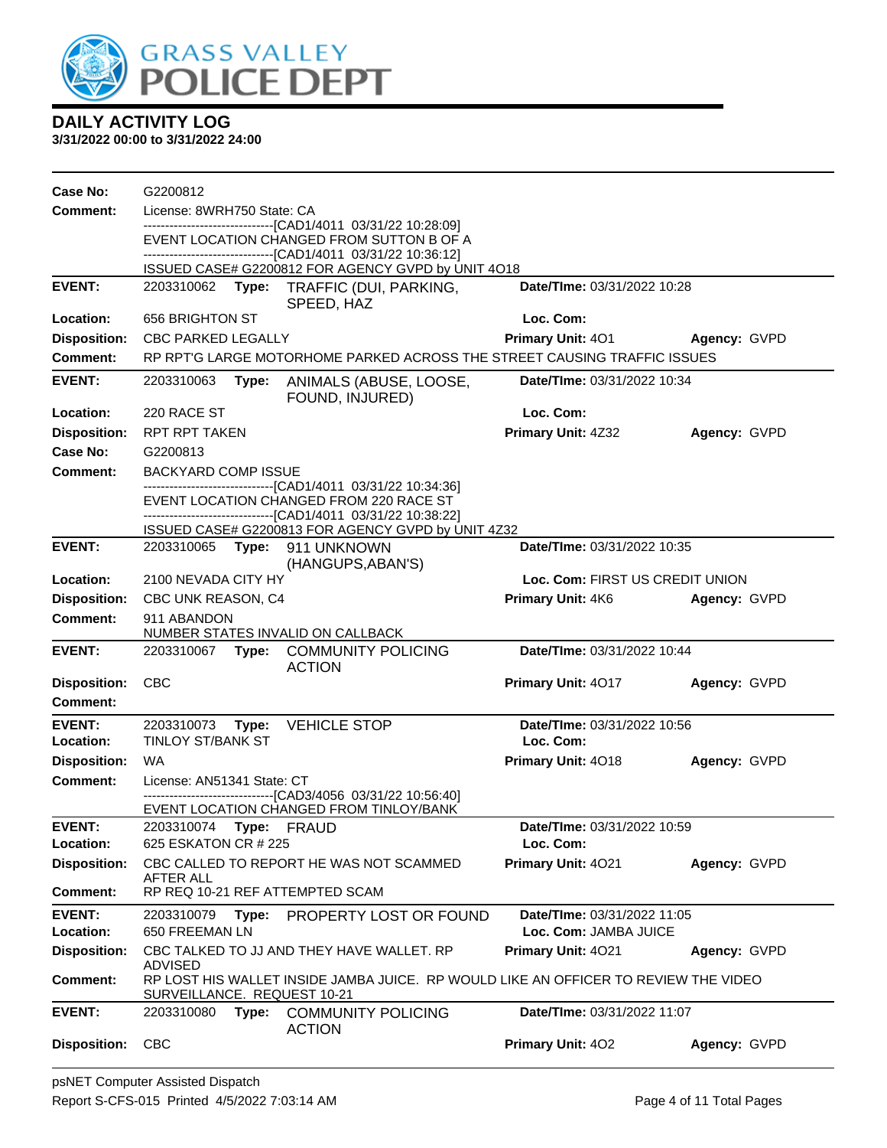

| Case No:                               | G2200812                    |       |                                                                                                           |                                 |              |
|----------------------------------------|-----------------------------|-------|-----------------------------------------------------------------------------------------------------------|---------------------------------|--------------|
| <b>Comment:</b>                        | License: 8WRH750 State: CA  |       |                                                                                                           |                                 |              |
|                                        |                             |       | -------------------------------[CAD1/4011 03/31/22 10:28:09]<br>EVENT LOCATION CHANGED FROM SUTTON B OF A |                                 |              |
|                                        |                             |       | -------------------------------[CAD1/4011_03/31/22 10:36:12]                                              |                                 |              |
|                                        |                             |       | ISSUED CASE# G2200812 FOR AGENCY GVPD by UNIT 4O18                                                        |                                 |              |
| <b>EVENT:</b>                          | 2203310062                  |       | Type: TRAFFIC (DUI, PARKING,<br>SPEED, HAZ                                                                | Date/TIme: 03/31/2022 10:28     |              |
| Location:                              | 656 BRIGHTON ST             |       |                                                                                                           | Loc. Com:                       |              |
| <b>Disposition:</b>                    | <b>CBC PARKED LEGALLY</b>   |       |                                                                                                           | <b>Primary Unit: 401</b>        | Agency: GVPD |
| <b>Comment:</b>                        |                             |       | RP RPT'G LARGE MOTORHOME PARKED ACROSS THE STREET CAUSING TRAFFIC ISSUES                                  |                                 |              |
| <b>EVENT:</b>                          | 2203310063                  | Type: | ANIMALS (ABUSE, LOOSE,<br>FOUND, INJURED)                                                                 | Date/TIme: 03/31/2022 10:34     |              |
| Location:                              | 220 RACE ST                 |       |                                                                                                           | Loc. Com:                       |              |
| <b>Disposition:</b>                    | <b>RPT RPT TAKEN</b>        |       |                                                                                                           | Primary Unit: 4Z32              | Agency: GVPD |
| <b>Case No:</b>                        | G2200813                    |       |                                                                                                           |                                 |              |
| Comment:                               | <b>BACKYARD COMP ISSUE</b>  |       |                                                                                                           |                                 |              |
|                                        |                             |       | -------------------------------[CAD1/4011 03/31/22 10:34:36]<br>EVENT LOCATION CHANGED FROM 220 RACE ST   |                                 |              |
|                                        |                             |       | -------------------------------[CAD1/4011_03/31/22 10:38:22]                                              |                                 |              |
| <b>EVENT:</b>                          |                             |       | ISSUED CASE# G2200813 FOR AGENCY GVPD by UNIT 4Z32<br>2203310065 Type: 911 UNKNOWN                        | Date/TIme: 03/31/2022 10:35     |              |
|                                        |                             |       | (HANGUPS, ABAN'S)                                                                                         |                                 |              |
| Location:                              | 2100 NEVADA CITY HY         |       |                                                                                                           | Loc. Com: FIRST US CREDIT UNION |              |
| <b>Disposition:</b>                    | CBC UNK REASON, C4          |       |                                                                                                           | <b>Primary Unit: 4K6</b>        | Agency: GVPD |
| <b>Comment:</b>                        | 911 ABANDON                 |       | NUMBER STATES INVALID ON CALLBACK                                                                         |                                 |              |
| <b>EVENT:</b>                          | 2203310067                  |       | Type: COMMUNITY POLICING                                                                                  | Date/TIme: 03/31/2022 10:44     |              |
|                                        | <b>CBC</b>                  |       | <b>ACTION</b>                                                                                             |                                 |              |
| <b>Disposition:</b><br><b>Comment:</b> |                             |       |                                                                                                           | Primary Unit: 4017              | Agency: GVPD |
| <b>EVENT:</b>                          | 2203310073                  | Type: | <b>VEHICLE STOP</b>                                                                                       | Date/TIme: 03/31/2022 10:56     |              |
| Location:                              | TINLOY ST/BANK ST           |       |                                                                                                           | Loc. Com:                       |              |
| <b>Disposition:</b>                    | WA                          |       |                                                                                                           | Primary Unit: 4018              | Agency: GVPD |
| <b>Comment:</b>                        | License: AN51341 State: CT  |       |                                                                                                           |                                 |              |
|                                        |                             |       | -------------------------[CAD3/4056_03/31/22_10:56:40]<br>EVENT LOCATION CHANGED FROM TINLOY/BANK         |                                 |              |
| <b>EVENT:</b>                          | 2203310074                  | Type: | <b>FRAUD</b>                                                                                              | Date/TIme: 03/31/2022 10:59     |              |
| Location:                              | 625 ESKATON CR # 225        |       |                                                                                                           | Loc. Com:                       |              |
| <b>Disposition:</b>                    |                             |       | CBC CALLED TO REPORT HE WAS NOT SCAMMED                                                                   | Primary Unit: 4021              | Agency: GVPD |
| <b>Comment:</b>                        | AFTER ALL                   |       | RP REQ 10-21 REF ATTEMPTED SCAM                                                                           |                                 |              |
| <b>EVENT:</b>                          | 2203310079                  | Type: | PROPERTY LOST OR FOUND                                                                                    | Date/TIme: 03/31/2022 11:05     |              |
| Location:                              | 650 FREEMAN LN              |       |                                                                                                           | Loc. Com: JAMBA JUICE           |              |
| <b>Disposition:</b>                    | <b>ADVISED</b>              |       | CBC TALKED TO JJ AND THEY HAVE WALLET. RP                                                                 | Primary Unit: 4021              | Agency: GVPD |
| <b>Comment:</b>                        | SURVEILLANCE. REQUEST 10-21 |       | RP LOST HIS WALLET INSIDE JAMBA JUICE. RP WOULD LIKE AN OFFICER TO REVIEW THE VIDEO                       |                                 |              |
| <b>EVENT:</b>                          | 2203310080                  | Type: | <b>COMMUNITY POLICING</b><br><b>ACTION</b>                                                                | Date/TIme: 03/31/2022 11:07     |              |
| <b>Disposition:</b>                    | <b>CBC</b>                  |       |                                                                                                           | Primary Unit: 402               | Agency: GVPD |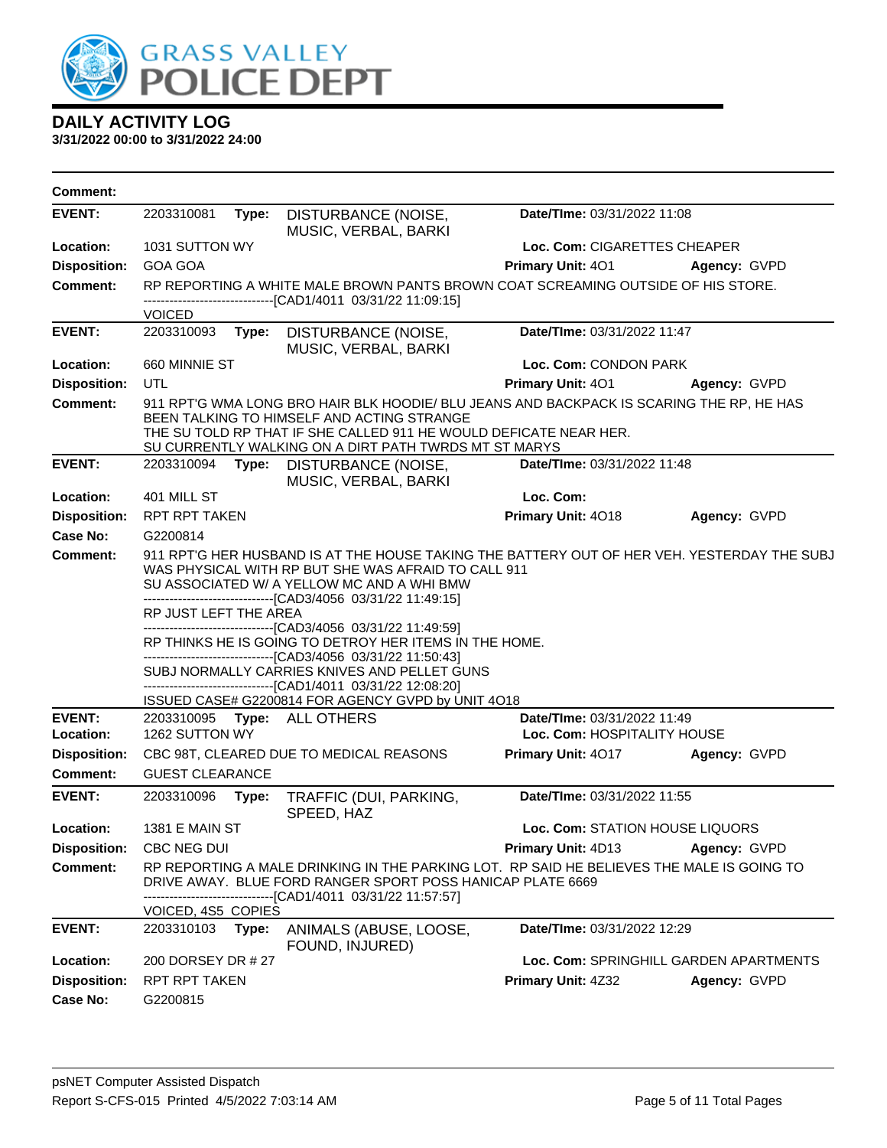

| <b>Comment:</b>     |                        |       |                                                                                                                                                                                                                                                                                                                                                                                                                                                                                                                                                                                                                           |                                 |                                        |
|---------------------|------------------------|-------|---------------------------------------------------------------------------------------------------------------------------------------------------------------------------------------------------------------------------------------------------------------------------------------------------------------------------------------------------------------------------------------------------------------------------------------------------------------------------------------------------------------------------------------------------------------------------------------------------------------------------|---------------------------------|----------------------------------------|
| <b>EVENT:</b>       | 2203310081             | Type: | DISTURBANCE (NOISE,<br>MUSIC, VERBAL, BARKI                                                                                                                                                                                                                                                                                                                                                                                                                                                                                                                                                                               | Date/TIme: 03/31/2022 11:08     |                                        |
| Location:           | 1031 SUTTON WY         |       |                                                                                                                                                                                                                                                                                                                                                                                                                                                                                                                                                                                                                           | Loc. Com: CIGARETTES CHEAPER    |                                        |
| <b>Disposition:</b> | <b>GOA GOA</b>         |       |                                                                                                                                                                                                                                                                                                                                                                                                                                                                                                                                                                                                                           | Primary Unit: 401               | Agency: GVPD                           |
| Comment:            |                        |       | RP REPORTING A WHITE MALE BROWN PANTS BROWN COAT SCREAMING OUTSIDE OF HIS STORE.<br>------------------------[CAD1/4011_03/31/22 11:09:15]                                                                                                                                                                                                                                                                                                                                                                                                                                                                                 |                                 |                                        |
|                     | <b>VOICED</b>          |       |                                                                                                                                                                                                                                                                                                                                                                                                                                                                                                                                                                                                                           |                                 |                                        |
| <b>EVENT:</b>       | 2203310093             |       | Type: DISTURBANCE (NOISE,<br>MUSIC, VERBAL, BARKI                                                                                                                                                                                                                                                                                                                                                                                                                                                                                                                                                                         | Date/TIme: 03/31/2022 11:47     |                                        |
| Location:           | 660 MINNIE ST          |       |                                                                                                                                                                                                                                                                                                                                                                                                                                                                                                                                                                                                                           | Loc. Com: CONDON PARK           |                                        |
| <b>Disposition:</b> | UTL                    |       |                                                                                                                                                                                                                                                                                                                                                                                                                                                                                                                                                                                                                           | Primary Unit: 401               | Agency: GVPD                           |
| <b>Comment:</b>     |                        |       | 911 RPT'G WMA LONG BRO HAIR BLK HOODIE/ BLU JEANS AND BACKPACK IS SCARING THE RP, HE HAS<br>BEEN TALKING TO HIMSELF AND ACTING STRANGE<br>THE SU TOLD RP THAT IF SHE CALLED 911 HE WOULD DEFICATE NEAR HER.<br>SU CURRENTLY WALKING ON A DIRT PATH TWRDS MT ST MARYS                                                                                                                                                                                                                                                                                                                                                      |                                 |                                        |
| <b>EVENT:</b>       | 2203310094             |       | Type: DISTURBANCE (NOISE,<br>MUSIC, VERBAL, BARKI                                                                                                                                                                                                                                                                                                                                                                                                                                                                                                                                                                         | Date/TIme: 03/31/2022 11:48     |                                        |
| Location:           | 401 MILL ST            |       |                                                                                                                                                                                                                                                                                                                                                                                                                                                                                                                                                                                                                           | Loc. Com:                       |                                        |
| <b>Disposition:</b> | <b>RPT RPT TAKEN</b>   |       |                                                                                                                                                                                                                                                                                                                                                                                                                                                                                                                                                                                                                           | Primary Unit: 4018              | Agency: GVPD                           |
| <b>Case No:</b>     | G2200814               |       |                                                                                                                                                                                                                                                                                                                                                                                                                                                                                                                                                                                                                           |                                 |                                        |
| Comment:            | RP JUST LEFT THE AREA  |       | 911 RPT'G HER HUSBAND IS AT THE HOUSE TAKING THE BATTERY OUT OF HER VEH. YESTERDAY THE SUBJ<br>WAS PHYSICAL WITH RP BUT SHE WAS AFRAID TO CALL 911<br>SU ASSOCIATED W/ A YELLOW MC AND A WHI BMW<br>------------------------[CAD3/4056_03/31/22 11:49:15]<br>-------------------------------[CAD3/4056_03/31/22 11:49:59]<br>RP THINKS HE IS GOING TO DETROY HER ITEMS IN THE HOME.<br>-------------------------------[CAD3/4056 03/31/22 11:50:43]<br>SUBJ NORMALLY CARRIES KNIVES AND PELLET GUNS<br>-------------------------------[CAD1/4011 03/31/22 12:08:20]<br>ISSUED CASE# G2200814 FOR AGENCY GVPD by UNIT 4O18 |                                 |                                        |
| <b>EVENT:</b>       | 2203310095             |       | Type: ALL OTHERS                                                                                                                                                                                                                                                                                                                                                                                                                                                                                                                                                                                                          | Date/TIme: 03/31/2022 11:49     |                                        |
| Location:           | 1262 SUTTON WY         |       |                                                                                                                                                                                                                                                                                                                                                                                                                                                                                                                                                                                                                           | Loc. Com: HOSPITALITY HOUSE     |                                        |
| <b>Disposition:</b> |                        |       | CBC 98T, CLEARED DUE TO MEDICAL REASONS                                                                                                                                                                                                                                                                                                                                                                                                                                                                                                                                                                                   | Primary Unit: 4017              | Agency: GVPD                           |
| Comment:            | <b>GUEST CLEARANCE</b> |       |                                                                                                                                                                                                                                                                                                                                                                                                                                                                                                                                                                                                                           |                                 |                                        |
| <b>EVENT:</b>       | 2203310096             | Type: | TRAFFIC (DUI, PARKING,<br>SPEED, HAZ                                                                                                                                                                                                                                                                                                                                                                                                                                                                                                                                                                                      | Date/TIme: 03/31/2022 11:55     |                                        |
| Location:           | <b>1381 E MAIN ST</b>  |       |                                                                                                                                                                                                                                                                                                                                                                                                                                                                                                                                                                                                                           | Loc. Com: STATION HOUSE LIQUORS |                                        |
| <b>Disposition:</b> | CBC NEG DUI            |       |                                                                                                                                                                                                                                                                                                                                                                                                                                                                                                                                                                                                                           | Primary Unit: 4D13              | Agency: GVPD                           |
| <b>Comment:</b>     | VOICED, 4S5 COPIES     |       | RP REPORTING A MALE DRINKING IN THE PARKING LOT. RP SAID HE BELIEVES THE MALE IS GOING TO<br>DRIVE AWAY. BLUE FORD RANGER SPORT POSS HANICAP PLATE 6669<br>--------[CAD1/4011_03/31/22 11:57:57]                                                                                                                                                                                                                                                                                                                                                                                                                          |                                 |                                        |
| <b>EVENT:</b>       | 2203310103             | Type: | ANIMALS (ABUSE, LOOSE,<br>FOUND, INJURED)                                                                                                                                                                                                                                                                                                                                                                                                                                                                                                                                                                                 | Date/TIme: 03/31/2022 12:29     |                                        |
| Location:           | 200 DORSEY DR # 27     |       |                                                                                                                                                                                                                                                                                                                                                                                                                                                                                                                                                                                                                           |                                 | Loc. Com: SPRINGHILL GARDEN APARTMENTS |
| <b>Disposition:</b> | <b>RPT RPT TAKEN</b>   |       |                                                                                                                                                                                                                                                                                                                                                                                                                                                                                                                                                                                                                           | <b>Primary Unit: 4Z32</b>       | Agency: GVPD                           |
| <b>Case No:</b>     | G2200815               |       |                                                                                                                                                                                                                                                                                                                                                                                                                                                                                                                                                                                                                           |                                 |                                        |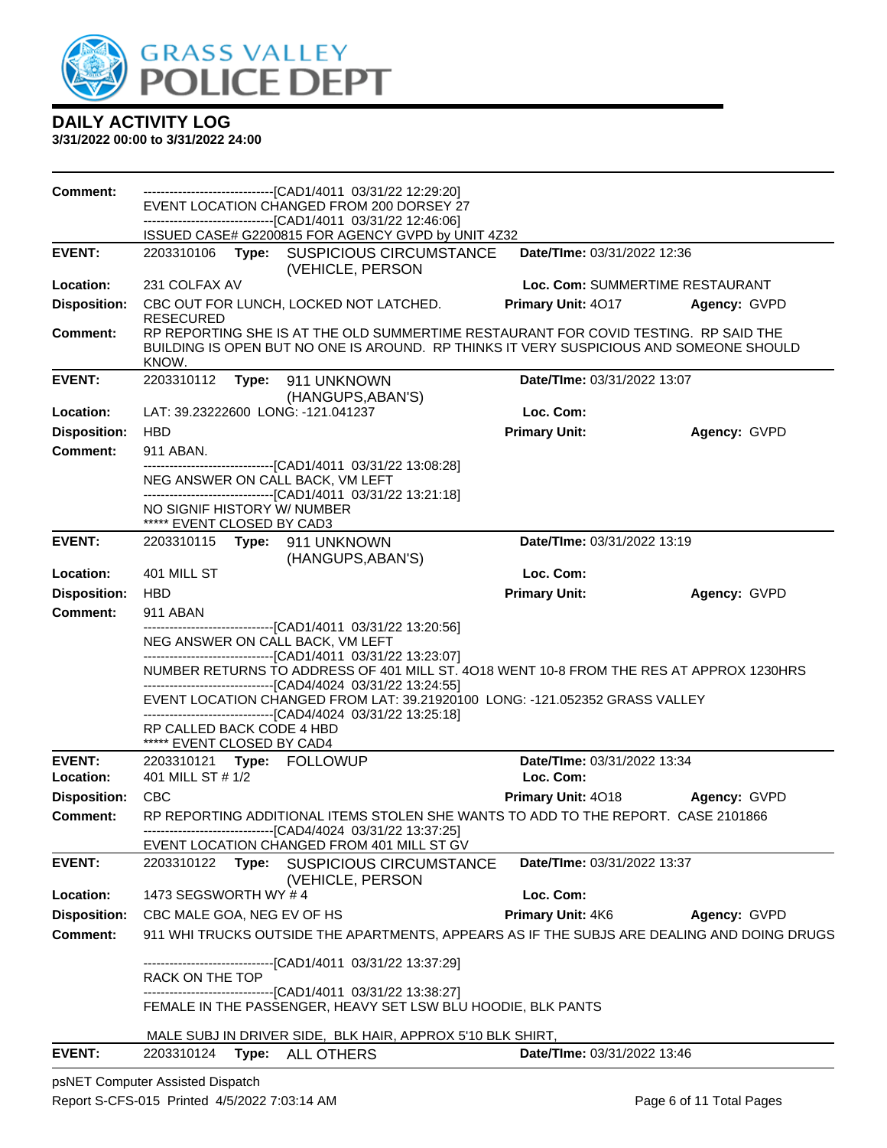

#### **3/31/2022 00:00 to 3/31/2022 24:00**

| Comment:            | -------------------------------[CAD1/4011 03/31/22 12:29:20]<br>EVENT LOCATION CHANGED FROM 200 DORSEY 27                                                                              |                                 |              |
|---------------------|----------------------------------------------------------------------------------------------------------------------------------------------------------------------------------------|---------------------------------|--------------|
|                     | -------------------------------[CAD1/4011 03/31/22 12:46:06]                                                                                                                           |                                 |              |
|                     | ISSUED CASE# G2200815 FOR AGENCY GVPD by UNIT 4Z32                                                                                                                                     |                                 |              |
| <b>EVENT:</b>       | 2203310106<br>Type:<br><b>SUSPICIOUS CIRCUMSTANCE</b><br>(VEHICLE, PERSON                                                                                                              | Date/TIme: 03/31/2022 12:36     |              |
| Location:           | 231 COLFAX AV                                                                                                                                                                          | Loc. Com: SUMMERTIME RESTAURANT |              |
| <b>Disposition:</b> | CBC OUT FOR LUNCH, LOCKED NOT LATCHED.<br><b>RESECURED</b>                                                                                                                             | Primary Unit: 4017              | Agency: GVPD |
| <b>Comment:</b>     | RP REPORTING SHE IS AT THE OLD SUMMERTIME RESTAURANT FOR COVID TESTING. RP SAID THE<br>BUILDING IS OPEN BUT NO ONE IS AROUND. RP THINKS IT VERY SUSPICIOUS AND SOMEONE SHOULD<br>KNOW. |                                 |              |
| <b>EVENT:</b>       | 2203310112 Type: 911 UNKNOWN<br>(HANGUPS, ABAN'S)                                                                                                                                      | Date/TIme: 03/31/2022 13:07     |              |
| Location:           | LAT: 39.23222600 LONG: -121.041237                                                                                                                                                     | Loc. Com:                       |              |
| <b>Disposition:</b> | <b>HBD</b>                                                                                                                                                                             | <b>Primary Unit:</b>            | Agency: GVPD |
| <b>Comment:</b>     | 911 ABAN.                                                                                                                                                                              |                                 |              |
|                     | -------------------------------[CAD1/4011 03/31/22 13:08:28]<br>NEG ANSWER ON CALL BACK, VM LEFT<br>-------------------------------[CAD1/4011 03/31/22 13:21:18]                       |                                 |              |
|                     | NO SIGNIF HISTORY W/ NUMBER<br>***** EVENT CLOSED BY CAD3                                                                                                                              |                                 |              |
| <b>EVENT:</b>       | (HANGUPS, ABAN'S)                                                                                                                                                                      | Date/TIme: 03/31/2022 13:19     |              |
| Location:           | 401 MILL ST                                                                                                                                                                            | Loc. Com:                       |              |
| <b>Disposition:</b> | <b>HBD</b>                                                                                                                                                                             | <b>Primary Unit:</b>            | Agency: GVPD |
| <b>Comment:</b>     | 911 ABAN                                                                                                                                                                               |                                 |              |
|                     | --------------------------------[CAD1/4011 03/31/22 13:20:56]<br>NEG ANSWER ON CALL BACK, VM LEFT                                                                                      |                                 |              |
|                     | -------------------------------[CAD1/4011 03/31/22 13:23:07]                                                                                                                           |                                 |              |
|                     | NUMBER RETURNS TO ADDRESS OF 401 MILL ST. 4018 WENT 10-8 FROM THE RES AT APPROX 1230HRS                                                                                                |                                 |              |
|                     | -------------------------------[CAD4/4024 03/31/22 13:24:55]<br>EVENT LOCATION CHANGED FROM LAT: 39.21920100 LONG: -121.052352 GRASS VALLEY                                            |                                 |              |
|                     | -------------------------------[CAD4/4024 03/31/22 13:25:18]<br>RP CALLED BACK CODE 4 HBD                                                                                              |                                 |              |
|                     | ***** EVENT CLOSED BY CAD4                                                                                                                                                             |                                 |              |
| <b>EVENT:</b>       | 2203310121 Type: FOLLOWUP                                                                                                                                                              | Date/TIme: 03/31/2022 13:34     |              |
| Location:           | 401 MILL ST # 1/2                                                                                                                                                                      | Loc. Com:                       |              |
| <b>Disposition:</b> | <b>CBC</b>                                                                                                                                                                             | Primary Unit: 4018              | Agency: GVPD |
| Comment:            | RP REPORTING ADDITIONAL ITEMS STOLEN SHE WANTS TO ADD TO THE REPORT. CASE 2101866<br>------------------------[CAD4/4024 03/31/22 13:37:25]                                             |                                 |              |
|                     | EVENT LOCATION CHANGED FROM 401 MILL ST GV                                                                                                                                             |                                 |              |
| <b>EVENT:</b>       | 2203310122<br>Type:<br>SUSPICIOUS CIRCUMSTANCE<br>(VEHICLE, PERSON                                                                                                                     | Date/TIme: 03/31/2022 13:37     |              |
| Location:           | 1473 SEGSWORTH WY #4                                                                                                                                                                   | Loc. Com:                       |              |
| <b>Disposition:</b> | CBC MALE GOA, NEG EV OF HS                                                                                                                                                             | Primary Unit: 4K6               | Agency: GVPD |
| <b>Comment:</b>     | 911 WHI TRUCKS OUTSIDE THE APARTMENTS, APPEARS AS IF THE SUBJS ARE DEALING AND DOING DRUGS                                                                                             |                                 |              |
|                     | ----------------------------[CAD1/4011_03/31/22 13:37:29]                                                                                                                              |                                 |              |
|                     | RACK ON THE TOP<br>-------------------------------[CAD1/4011 03/31/22 13:38:27]                                                                                                        |                                 |              |
|                     | FEMALE IN THE PASSENGER, HEAVY SET LSW BLU HOODIE, BLK PANTS                                                                                                                           |                                 |              |
|                     | MALE SUBJ IN DRIVER SIDE, BLK HAIR, APPROX 5'10 BLK SHIRT,                                                                                                                             |                                 |              |
| <b>EVENT:</b>       | Type: ALL OTHERS<br>2203310124                                                                                                                                                         | Date/TIme: 03/31/2022 13:46     |              |
|                     |                                                                                                                                                                                        |                                 |              |

psNET Computer Assisted Dispatch Report S-CFS-015 Printed 4/5/2022 7:03:14 AM Page 6 of 11 Total Pages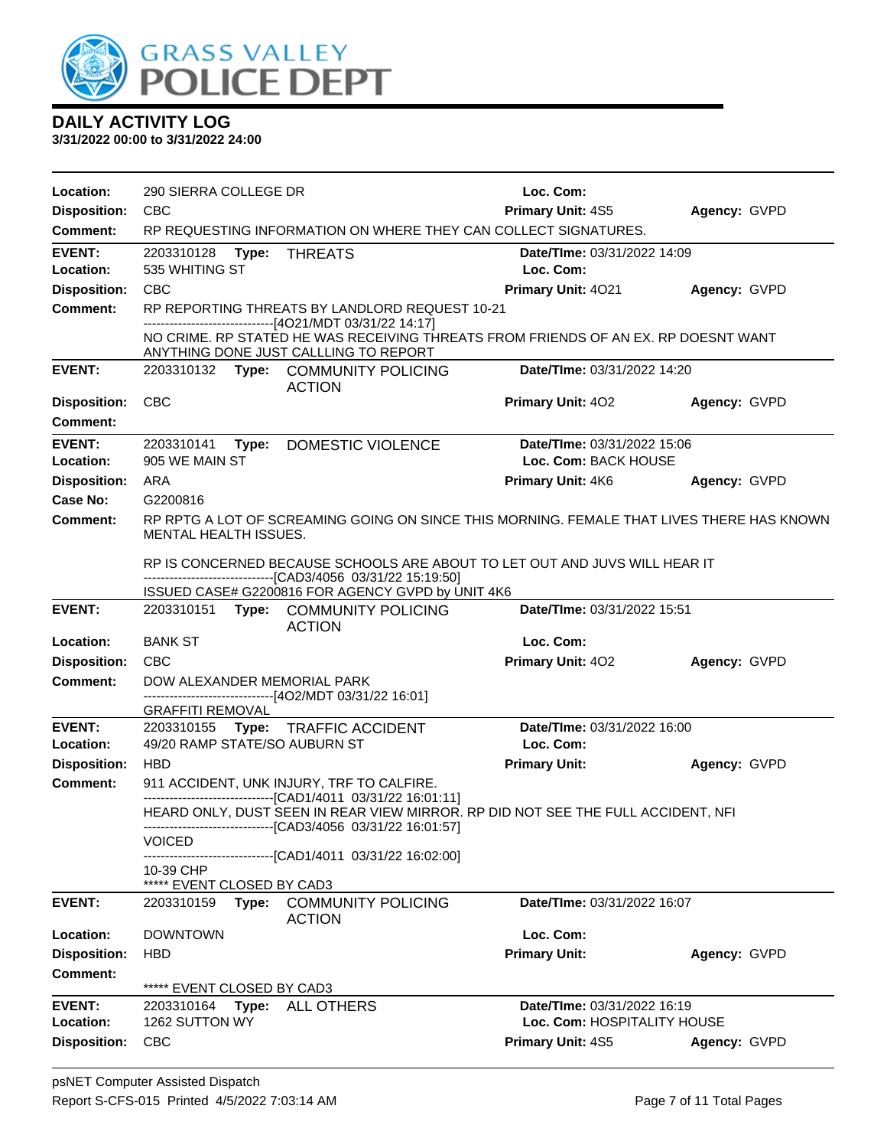

| Location:           | 290 SIERRA COLLEGE DR                   |                                                                                                                                                                                    | Loc. Com:                   |              |
|---------------------|-----------------------------------------|------------------------------------------------------------------------------------------------------------------------------------------------------------------------------------|-----------------------------|--------------|
| <b>Disposition:</b> | <b>CBC</b>                              |                                                                                                                                                                                    | <b>Primary Unit: 4S5</b>    | Agency: GVPD |
| <b>Comment:</b>     |                                         | RP REQUESTING INFORMATION ON WHERE THEY CAN COLLECT SIGNATURES.                                                                                                                    |                             |              |
| <b>EVENT:</b>       | 2203310128 Type:                        | <b>THREATS</b>                                                                                                                                                                     | Date/TIme: 03/31/2022 14:09 |              |
| Location:           | 535 WHITING ST                          |                                                                                                                                                                                    | Loc. Com:                   |              |
| <b>Disposition:</b> | <b>CBC</b>                              |                                                                                                                                                                                    | <b>Primary Unit: 4021</b>   | Agency: GVPD |
| <b>Comment:</b>     |                                         | RP REPORTING THREATS BY LANDLORD REQUEST 10-21                                                                                                                                     |                             |              |
|                     |                                         | --------------------------[4O21/MDT 03/31/22 14:17]<br>NO CRIME. RP STATED HE WAS RECEIVING THREATS FROM FRIENDS OF AN EX. RP DOESNT WANT<br>ANYTHING DONE JUST CALLLING TO REPORT |                             |              |
| <b>EVENT:</b>       |                                         | 2203310132 Type: COMMUNITY POLICING<br><b>ACTION</b>                                                                                                                               | Date/TIme: 03/31/2022 14:20 |              |
| <b>Disposition:</b> | <b>CBC</b>                              |                                                                                                                                                                                    | Primary Unit: 402           | Agency: GVPD |
| <b>Comment:</b>     |                                         |                                                                                                                                                                                    |                             |              |
| <b>EVENT:</b>       | 2203310141<br>Type:                     | DOMESTIC VIOLENCE                                                                                                                                                                  | Date/TIme: 03/31/2022 15:06 |              |
| Location:           | 905 WE MAIN ST                          |                                                                                                                                                                                    | Loc. Com: BACK HOUSE        |              |
| <b>Disposition:</b> | ARA                                     |                                                                                                                                                                                    | Primary Unit: 4K6           | Agency: GVPD |
| Case No:            | G2200816                                |                                                                                                                                                                                    |                             |              |
| <b>Comment:</b>     | MENTAL HEALTH ISSUES.                   | RP RPTG A LOT OF SCREAMING GOING ON SINCE THIS MORNING. FEMALE THAT LIVES THERE HAS KNOWN                                                                                          |                             |              |
|                     |                                         | RP IS CONCERNED BECAUSE SCHOOLS ARE ABOUT TO LET OUT AND JUVS WILL HEAR IT<br>-------------------------------[CAD3/4056 03/31/22 15:19:50]                                         |                             |              |
| <b>EVENT:</b>       |                                         | ISSUED CASE# G2200816 FOR AGENCY GVPD by UNIT 4K6                                                                                                                                  | Date/TIme: 03/31/2022 15:51 |              |
|                     |                                         | 2203310151 Type: COMMUNITY POLICING<br><b>ACTION</b>                                                                                                                               |                             |              |
| Location:           | <b>BANK ST</b>                          |                                                                                                                                                                                    | Loc. Com:                   |              |
| <b>Disposition:</b> | <b>CBC</b>                              |                                                                                                                                                                                    | <b>Primary Unit: 402</b>    | Agency: GVPD |
| <b>Comment:</b>     | DOW ALEXANDER MEMORIAL PARK             | ------------------------------[4O2/MDT 03/31/22 16:01]                                                                                                                             |                             |              |
|                     | <b>GRAFFITI REMOVAL</b>                 |                                                                                                                                                                                    |                             |              |
| <b>EVENT:</b>       |                                         | 2203310155 Type: TRAFFIC ACCIDENT                                                                                                                                                  | Date/TIme: 03/31/2022 16:00 |              |
| Location:           | 49/20 RAMP STATE/SO AUBURN ST           |                                                                                                                                                                                    | Loc. Com:                   |              |
| <b>Disposition:</b> | <b>HBD</b>                              |                                                                                                                                                                                    | <b>Primary Unit:</b>        | Agency: GVPD |
| <b>Comment:</b>     |                                         | 911 ACCIDENT, UNK INJURY, TRF TO CALFIRE.<br>------------------------[CAD1/4011_03/31/22 16:01:11]                                                                                 |                             |              |
|                     |                                         | HEARD ONLY, DUST SEEN IN REAR VIEW MIRROR. RP DID NOT SEE THE FULL ACCIDENT, NFI                                                                                                   |                             |              |
|                     |                                         | --------------------[CAD3/4056_03/31/22 16:01:57]                                                                                                                                  |                             |              |
|                     | <b>VOICED</b>                           | -------------[CAD1/4011_03/31/22 16:02:00]                                                                                                                                         |                             |              |
|                     | 10-39 CHP<br>***** EVENT CLOSED BY CAD3 |                                                                                                                                                                                    |                             |              |
| <b>EVENT:</b>       | 2203310159<br>Type:                     | <b>COMMUNITY POLICING</b><br><b>ACTION</b>                                                                                                                                         | Date/TIme: 03/31/2022 16:07 |              |
| Location:           | <b>DOWNTOWN</b>                         |                                                                                                                                                                                    | Loc. Com:                   |              |
| <b>Disposition:</b> | <b>HBD</b>                              |                                                                                                                                                                                    | <b>Primary Unit:</b>        | Agency: GVPD |
| <b>Comment:</b>     | ***** EVENT CLOSED BY CAD3              |                                                                                                                                                                                    |                             |              |
| <b>EVENT:</b>       | 2203310164 Type:                        | ALL OTHERS                                                                                                                                                                         | Date/TIme: 03/31/2022 16:19 |              |
| Location:           | 1262 SUTTON WY                          |                                                                                                                                                                                    | Loc. Com: HOSPITALITY HOUSE |              |
| <b>Disposition:</b> | <b>CBC</b>                              |                                                                                                                                                                                    | Primary Unit: 4S5           | Agency: GVPD |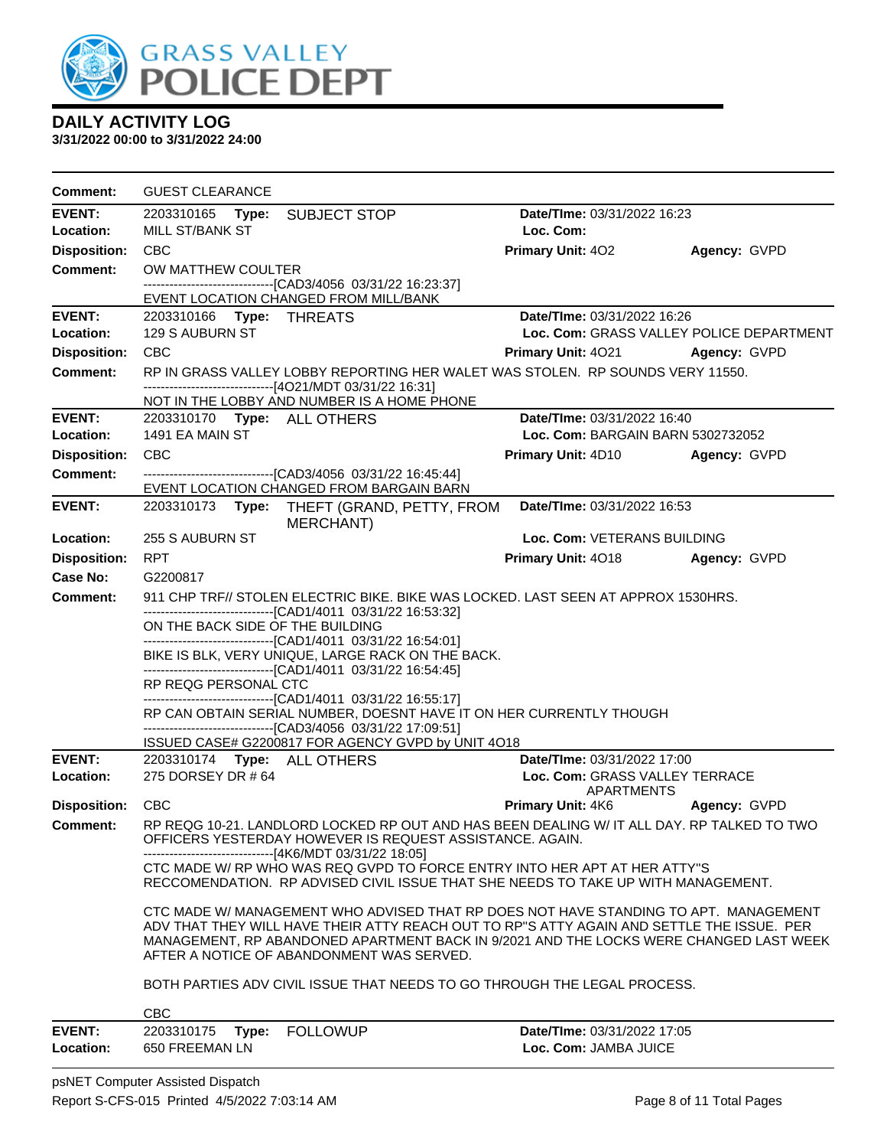

| Comment:                   | <b>GUEST CLEARANCE</b>                                                                                |                                                                                                                                                                                                                                                                             |                                                      |              |
|----------------------------|-------------------------------------------------------------------------------------------------------|-----------------------------------------------------------------------------------------------------------------------------------------------------------------------------------------------------------------------------------------------------------------------------|------------------------------------------------------|--------------|
| <b>EVENT:</b>              | 2203310165 <b>Type:</b>                                                                               | <b>SUBJECT STOP</b>                                                                                                                                                                                                                                                         | Date/TIme: 03/31/2022 16:23                          |              |
| Location:                  | MILL ST/BANK ST                                                                                       |                                                                                                                                                                                                                                                                             | Loc. Com:                                            |              |
| <b>Disposition:</b>        | CBC                                                                                                   |                                                                                                                                                                                                                                                                             | <b>Primary Unit: 402</b>                             | Agency: GVPD |
| <b>Comment:</b>            | OW MATTHEW COULTER                                                                                    |                                                                                                                                                                                                                                                                             |                                                      |              |
|                            | -------------------------------[CAD3/4056 03/31/22 16:23:37]<br>EVENT LOCATION CHANGED FROM MILL/BANK |                                                                                                                                                                                                                                                                             |                                                      |              |
| <b>EVENT:</b>              | 2203310166 Type: THREATS                                                                              |                                                                                                                                                                                                                                                                             | Date/TIme: 03/31/2022 16:26                          |              |
| Location:                  | 129 S AUBURN ST                                                                                       |                                                                                                                                                                                                                                                                             | Loc. Com: GRASS VALLEY POLICE DEPARTMENT             |              |
| <b>Disposition:</b>        | <b>CBC</b>                                                                                            |                                                                                                                                                                                                                                                                             | <b>Primary Unit: 4021 Agency: GVPD</b>               |              |
| <b>Comment:</b>            |                                                                                                       | RP IN GRASS VALLEY LOBBY REPORTING HER WALET WAS STOLEN. RP SOUNDS VERY 11550.                                                                                                                                                                                              |                                                      |              |
|                            | --------------------------------[4O21/MDT 03/31/22 16:31]                                             |                                                                                                                                                                                                                                                                             |                                                      |              |
| <b>EVENT:</b>              | 2203310170 Type: ALL OTHERS                                                                           | NOT IN THE LOBBY AND NUMBER IS A HOME PHONE                                                                                                                                                                                                                                 | Date/TIme: 03/31/2022 16:40                          |              |
| Location:                  | 1491 EA MAIN ST                                                                                       |                                                                                                                                                                                                                                                                             | Loc. Com: BARGAIN BARN 5302732052                    |              |
| <b>Disposition:</b>        | <b>CBC</b>                                                                                            |                                                                                                                                                                                                                                                                             | <b>Primary Unit: 4D10</b>                            | Agency: GVPD |
| <b>Comment:</b>            | ----------------------------------[CAD3/4056 03/31/22 16:45:44]                                       |                                                                                                                                                                                                                                                                             |                                                      |              |
|                            | EVENT LOCATION CHANGED FROM BARGAIN BARN                                                              |                                                                                                                                                                                                                                                                             |                                                      |              |
| <b>EVENT:</b>              |                                                                                                       | 2203310173 Type: THEFT (GRAND, PETTY, FROM<br>MERCHANT)                                                                                                                                                                                                                     | Date/TIme: 03/31/2022 16:53                          |              |
| Location:                  | 255 S AUBURN ST                                                                                       |                                                                                                                                                                                                                                                                             | Loc. Com: VETERANS BUILDING                          |              |
| <b>Disposition:</b>        | <b>RPT</b>                                                                                            |                                                                                                                                                                                                                                                                             | Primary Unit: 4018                                   | Agency: GVPD |
| Case No:                   | G2200817                                                                                              |                                                                                                                                                                                                                                                                             |                                                      |              |
| <b>Comment:</b>            |                                                                                                       | 911 CHP TRF// STOLEN ELECTRIC BIKE. BIKE WAS LOCKED. LAST SEEN AT APPROX 1530HRS.                                                                                                                                                                                           |                                                      |              |
|                            | --------------------------------[CAD1/4011 03/31/22 16:53:32]<br>ON THE BACK SIDE OF THE BUILDING     |                                                                                                                                                                                                                                                                             |                                                      |              |
|                            | --------------------------------[CAD1/4011 03/31/22 16:54:01]                                         | BIKE IS BLK, VERY UNIQUE, LARGE RACK ON THE BACK.                                                                                                                                                                                                                           |                                                      |              |
|                            | -------------------------------[CAD1/4011 03/31/22 16:54:45]<br>RP REQG PERSONAL CTC                  |                                                                                                                                                                                                                                                                             |                                                      |              |
|                            | -------------------------------[CAD1/4011 03/31/22 16:55:17]                                          |                                                                                                                                                                                                                                                                             |                                                      |              |
|                            |                                                                                                       | RP CAN OBTAIN SERIAL NUMBER, DOESNT HAVE IT ON HER CURRENTLY THOUGH                                                                                                                                                                                                         |                                                      |              |
|                            | --------------------------------[CAD3/4056 03/31/22 17:09:51]                                         | ISSUED CASE# G2200817 FOR AGENCY GVPD by UNIT 4O18                                                                                                                                                                                                                          |                                                      |              |
| <b>EVENT:</b>              | 2203310174 Type: ALL OTHERS                                                                           |                                                                                                                                                                                                                                                                             | Date/TIme: 03/31/2022 17:00                          |              |
| Location:                  | 275 DORSEY DR # 64                                                                                    |                                                                                                                                                                                                                                                                             | Loc. Com: GRASS VALLEY TERRACE<br>APARTMENTS         |              |
| Disposition: CBC           |                                                                                                       |                                                                                                                                                                                                                                                                             | <b>Primary Unit: 4K6</b>                             | Agency: GVPD |
| <b>Comment:</b>            |                                                                                                       | RP REQG 10-21. LANDLORD LOCKED RP OUT AND HAS BEEN DEALING W/ IT ALL DAY. RP TALKED TO TWO<br>OFFICERS YESTERDAY HOWEVER IS REQUEST ASSISTANCE. AGAIN.                                                                                                                      |                                                      |              |
|                            |                                                                                                       | ------------------[4K6/MDT 03/31/22 18:05]<br>CTC MADE W/ RP WHO WAS REQ GVPD TO FORCE ENTRY INTO HER APT AT HER ATTY"S<br>RECCOMENDATION. RP ADVISED CIVIL ISSUE THAT SHE NEEDS TO TAKE UP WITH MANAGEMENT.                                                                |                                                      |              |
|                            | AFTER A NOTICE OF ABANDONMENT WAS SERVED.                                                             | CTC MADE W/ MANAGEMENT WHO ADVISED THAT RP DOES NOT HAVE STANDING TO APT. MANAGEMENT<br>ADV THAT THEY WILL HAVE THEIR ATTY REACH OUT TO RP"S ATTY AGAIN AND SETTLE THE ISSUE. PER<br>MANAGEMENT, RP ABANDONED APARTMENT BACK IN 9/2021 AND THE LOCKS WERE CHANGED LAST WEEK |                                                      |              |
|                            |                                                                                                       | BOTH PARTIES ADV CIVIL ISSUE THAT NEEDS TO GO THROUGH THE LEGAL PROCESS.                                                                                                                                                                                                    |                                                      |              |
|                            | <b>CBC</b>                                                                                            |                                                                                                                                                                                                                                                                             |                                                      |              |
| <b>EVENT:</b><br>Location: | 2203310175<br>Type:<br>650 FREEMAN LN                                                                 | <b>FOLLOWUP</b>                                                                                                                                                                                                                                                             | Date/TIme: 03/31/2022 17:05<br>Loc. Com: JAMBA JUICE |              |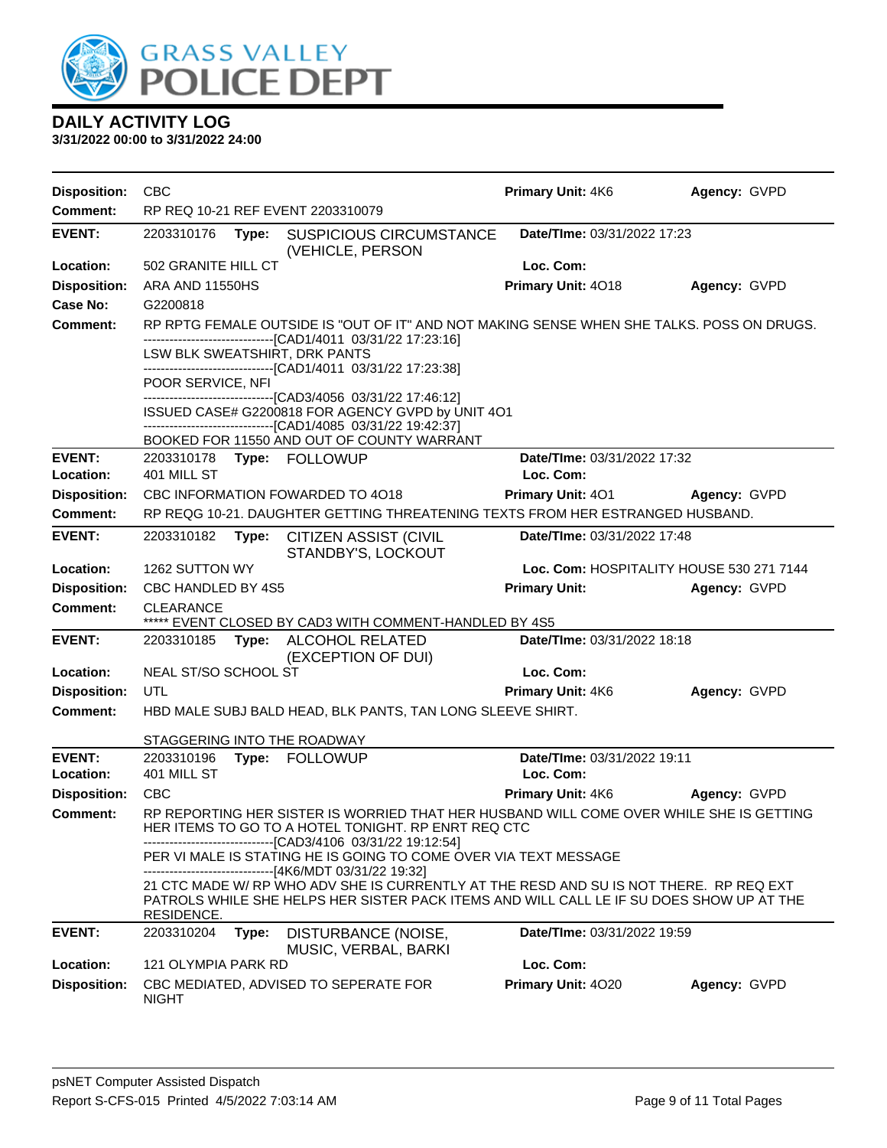

| <b>Disposition:</b> | CBC                                                                                           |                                                                                                                                                                                    | <b>Primary Unit: 4K6</b>                 | Agency: GVPD |
|---------------------|-----------------------------------------------------------------------------------------------|------------------------------------------------------------------------------------------------------------------------------------------------------------------------------------|------------------------------------------|--------------|
| Comment:            | RP REQ 10-21 REF EVENT 2203310079                                                             |                                                                                                                                                                                    |                                          |              |
| <b>EVENT:</b>       | 2203310176<br>Type:                                                                           | <b>SUSPICIOUS CIRCUMSTANCE</b><br>(VEHICLE, PERSON                                                                                                                                 | Date/TIme: 03/31/2022 17:23              |              |
| Location:           | 502 GRANITE HILL CT                                                                           |                                                                                                                                                                                    | Loc. Com:                                |              |
| <b>Disposition:</b> | ARA AND 11550HS                                                                               |                                                                                                                                                                                    | Primary Unit: 4018                       | Agency: GVPD |
| <b>Case No:</b>     | G2200818                                                                                      |                                                                                                                                                                                    |                                          |              |
| Comment:            |                                                                                               | RP RPTG FEMALE OUTSIDE IS "OUT OF IT" AND NOT MAKING SENSE WHEN SHE TALKS. POSS ON DRUGS.                                                                                          |                                          |              |
|                     |                                                                                               | --------------------------[CAD1/4011_03/31/22 17:23:16]                                                                                                                            |                                          |              |
|                     | LSW BLK SWEATSHIRT, DRK PANTS<br>-------------------------------[CAD1/4011 03/31/22 17:23:38] |                                                                                                                                                                                    |                                          |              |
|                     | POOR SERVICE, NFI                                                                             |                                                                                                                                                                                    |                                          |              |
|                     | ------------------------------[CAD3/4056_03/31/22 17:46:12]                                   |                                                                                                                                                                                    |                                          |              |
|                     | -------------------------------[CAD1/4085 03/31/22 19:42:37]                                  | ISSUED CASE# G2200818 FOR AGENCY GVPD by UNIT 4O1                                                                                                                                  |                                          |              |
|                     |                                                                                               | BOOKED FOR 11550 AND OUT OF COUNTY WARRANT                                                                                                                                         |                                          |              |
| <b>EVENT:</b>       | 2203310178 Type: FOLLOWUP                                                                     |                                                                                                                                                                                    | Date/TIme: 03/31/2022 17:32              |              |
| Location:           | 401 MILL ST                                                                                   |                                                                                                                                                                                    | Loc. Com:                                |              |
| <b>Disposition:</b> | CBC INFORMATION FOWARDED TO 4018                                                              |                                                                                                                                                                                    | <b>Primary Unit: 401</b>                 | Agency: GVPD |
| <b>Comment:</b>     |                                                                                               | RP REQG 10-21. DAUGHTER GETTING THREATENING TEXTS FROM HER ESTRANGED HUSBAND.                                                                                                      |                                          |              |
| <b>EVENT:</b>       | 2203310182<br>Type:                                                                           | <b>CITIZEN ASSIST (CIVIL</b><br>STANDBY'S, LOCKOUT                                                                                                                                 | Date/TIme: 03/31/2022 17:48              |              |
| Location:           | 1262 SUTTON WY                                                                                |                                                                                                                                                                                    | Loc. Com: HOSPITALITY HOUSE 530 271 7144 |              |
| <b>Disposition:</b> | CBC HANDLED BY 4S5                                                                            |                                                                                                                                                                                    | <b>Primary Unit:</b>                     | Agency: GVPD |
| Comment:            | <b>CLEARANCE</b>                                                                              | ***** EVENT CLOSED BY CAD3 WITH COMMENT-HANDLED BY 4S5                                                                                                                             |                                          |              |
| <b>EVENT:</b>       | 2203310185<br>Type:                                                                           | ALCOHOL RELATED<br>(EXCEPTION OF DUI)                                                                                                                                              | Date/TIme: 03/31/2022 18:18              |              |
| Location:           | NEAL ST/SO SCHOOL ST                                                                          |                                                                                                                                                                                    | Loc. Com:                                |              |
| <b>Disposition:</b> | UTL                                                                                           |                                                                                                                                                                                    | <b>Primary Unit: 4K6</b>                 | Agency: GVPD |
| <b>Comment:</b>     |                                                                                               | HBD MALE SUBJ BALD HEAD, BLK PANTS, TAN LONG SLEEVE SHIRT.                                                                                                                         |                                          |              |
|                     | STAGGERING INTO THE ROADWAY                                                                   |                                                                                                                                                                                    |                                          |              |
| <b>EVENT:</b>       | 2203310196<br>Type: FOLLOWUP                                                                  |                                                                                                                                                                                    | Date/TIme: 03/31/2022 19:11              |              |
| Location:           | 401 MILL ST                                                                                   |                                                                                                                                                                                    | Loc. Com:                                |              |
| <b>Disposition:</b> | <b>CBC</b>                                                                                    |                                                                                                                                                                                    | Primary Unit: 4K6                        | Agency: GVPD |
| Comment:            | ----------------------------------[CAD3/4106 03/31/22 19:12:54]                               | RP REPORTING HER SISTER IS WORRIED THAT HER HUSBAND WILL COME OVER WHILE SHE IS GETTING<br>HER ITEMS TO GO TO A HOTEL TONIGHT. RP ENRT REQ CTC                                     |                                          |              |
|                     |                                                                                               | PER VI MALE IS STATING HE IS GOING TO COME OVER VIA TEXT MESSAGE<br>-------------------[4K6/MDT 03/31/22 19:32]                                                                    |                                          |              |
|                     | <b>RESIDENCE.</b>                                                                             | 21 CTC MADE W/ RP WHO ADV SHE IS CURRENTLY AT THE RESD AND SU IS NOT THERE. RP REQ EXT<br>PATROLS WHILE SHE HELPS HER SISTER PACK ITEMS AND WILL CALL LE IF SU DOES SHOW UP AT THE |                                          |              |
| <b>EVENT:</b>       | 2203310204<br>Type:                                                                           | DISTURBANCE (NOISE,<br>MUSIC, VERBAL, BARKI                                                                                                                                        | Date/TIme: 03/31/2022 19:59              |              |
| Location:           | <b>121 OLYMPIA PARK RD</b>                                                                    |                                                                                                                                                                                    | Loc. Com:                                |              |
| <b>Disposition:</b> | CBC MEDIATED, ADVISED TO SEPERATE FOR<br><b>NIGHT</b>                                         |                                                                                                                                                                                    | Primary Unit: 4020                       | Agency: GVPD |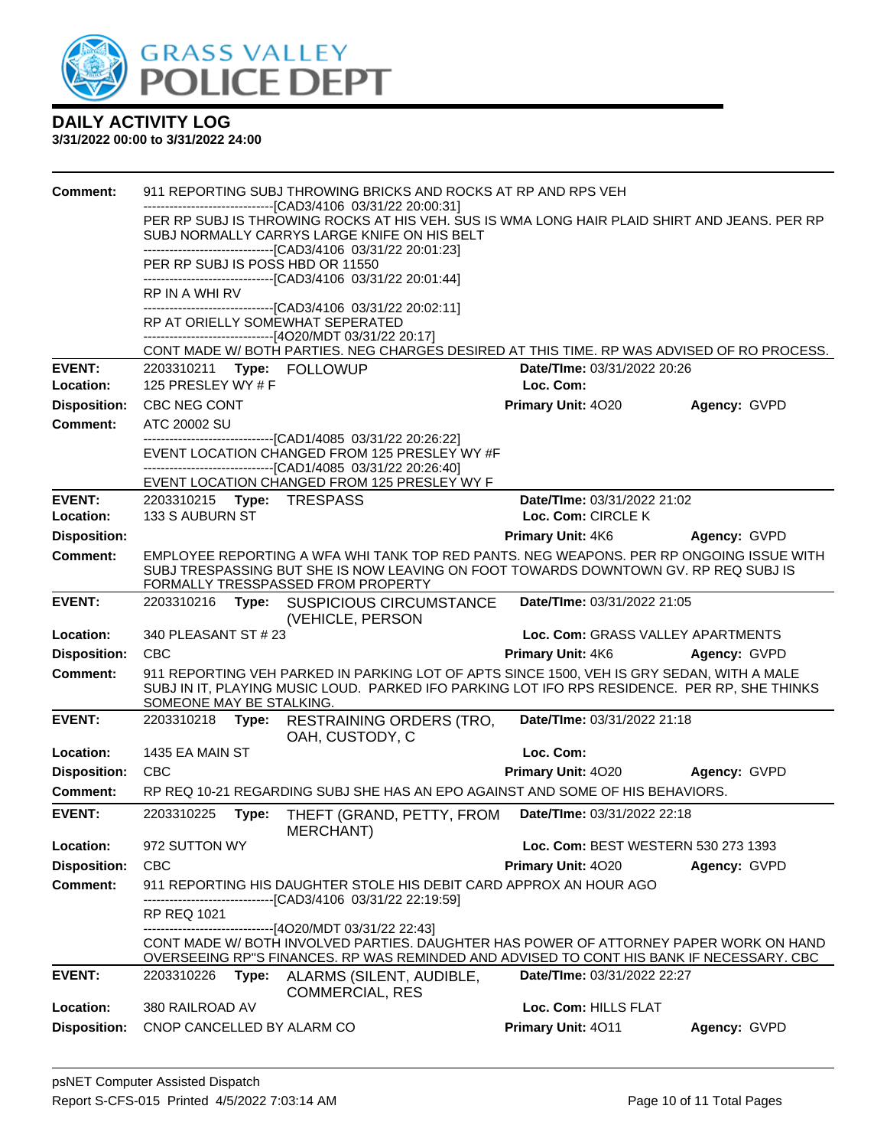

| <b>Comment:</b>     |                                  | 911 REPORTING SUBJ THROWING BRICKS AND ROCKS AT RP AND RPS VEH                                                                                                                            |                                     |              |
|---------------------|----------------------------------|-------------------------------------------------------------------------------------------------------------------------------------------------------------------------------------------|-------------------------------------|--------------|
|                     |                                  | -------------------------------[CAD3/4106_03/31/22 20:00:31]<br>PER RP SUBJ IS THROWING ROCKS AT HIS VEH. SUS IS WMA LONG HAIR PLAID SHIRT AND JEANS. PER RP                              |                                     |              |
|                     |                                  | SUBJ NORMALLY CARRYS LARGE KNIFE ON HIS BELT                                                                                                                                              |                                     |              |
|                     |                                  | -------------------------------[CAD3/4106 03/31/22 20:01:23]                                                                                                                              |                                     |              |
|                     | PER RP SUBJ IS POSS HBD OR 11550 |                                                                                                                                                                                           |                                     |              |
|                     | RP IN A WHI RV                   | ------------------------------[CAD3/4106_03/31/22 20:01:44]                                                                                                                               |                                     |              |
|                     |                                  | -------------------------------[CAD3/4106 03/31/22 20:02:11]                                                                                                                              |                                     |              |
|                     | RP AT ORIELLY SOMEWHAT SEPERATED |                                                                                                                                                                                           |                                     |              |
|                     |                                  | ------------------------------[4O20/MDT 03/31/22 20:17]<br>CONT MADE W/BOTH PARTIES. NEG CHARGES DESIRED AT THIS TIME. RP WAS ADVISED OF RO PROCESS.                                      |                                     |              |
| <b>EVENT:</b>       | 2203310211 Type: FOLLOWUP        |                                                                                                                                                                                           | Date/TIme: 03/31/2022 20:26         |              |
| Location:           | 125 PRESLEY WY $#F$              |                                                                                                                                                                                           | Loc. Com:                           |              |
| <b>Disposition:</b> | CBC NEG CONT                     |                                                                                                                                                                                           | Primary Unit: 4020                  | Agency: GVPD |
| <b>Comment:</b>     | ATC 20002 SU                     |                                                                                                                                                                                           |                                     |              |
|                     |                                  | -------------------------------[CAD1/4085 03/31/22 20:26:22]                                                                                                                              |                                     |              |
|                     |                                  | EVENT LOCATION CHANGED FROM 125 PRESLEY WY #F<br>-------------------------------[CAD1/4085 03/31/22 20:26:40]                                                                             |                                     |              |
|                     |                                  | EVENT LOCATION CHANGED FROM 125 PRESLEY WY F                                                                                                                                              |                                     |              |
| <b>EVENT:</b>       | 2203310215    Type: TRESPASS     |                                                                                                                                                                                           | Date/TIme: 03/31/2022 21:02         |              |
| Location:           | 133 S AUBURN ST                  |                                                                                                                                                                                           | Loc. Com: CIRCLE K                  |              |
| <b>Disposition:</b> |                                  |                                                                                                                                                                                           | <b>Primary Unit: 4K6</b>            | Agency: GVPD |
| <b>Comment:</b>     |                                  | EMPLOYEE REPORTING A WFA WHI TANK TOP RED PANTS. NEG WEAPONS. PER RP ONGOING ISSUE WITH                                                                                                   |                                     |              |
|                     |                                  | SUBJ TRESPASSING BUT SHE IS NOW LEAVING ON FOOT TOWARDS DOWNTOWN GV. RP REQ SUBJ IS<br>FORMALLY TRESSPASSED FROM PROPERTY                                                                 |                                     |              |
| <b>EVENT:</b>       | 2203310216                       | Type: SUSPICIOUS CIRCUMSTANCE                                                                                                                                                             | Date/TIme: 03/31/2022 21:05         |              |
|                     |                                  | (VEHICLE, PERSON                                                                                                                                                                          |                                     |              |
| Location:           | 340 PLEASANT ST # 23             |                                                                                                                                                                                           | Loc. Com: GRASS VALLEY APARTMENTS   |              |
| <b>Disposition:</b> | <b>CBC</b>                       |                                                                                                                                                                                           | <b>Primary Unit: 4K6</b>            | Agency: GVPD |
| <b>Comment:</b>     |                                  | 911 REPORTING VEH PARKED IN PARKING LOT OF APTS SINCE 1500, VEH IS GRY SEDAN, WITH A MALE<br>SUBJ IN IT, PLAYING MUSIC LOUD. PARKED IFO PARKING LOT IFO RPS RESIDENCE. PER RP, SHE THINKS |                                     |              |
|                     | SOMEONE MAY BE STALKING.         |                                                                                                                                                                                           |                                     |              |
| <b>EVENT:</b>       | 2203310218                       | Type: RESTRAINING ORDERS (TRO,<br>OAH, CUSTODY, C                                                                                                                                         | Date/TIme: 03/31/2022 21:18         |              |
| Location:           | 1435 EA MAIN ST                  |                                                                                                                                                                                           | Loc. Com:                           |              |
| <b>Disposition:</b> | <b>CBC</b>                       |                                                                                                                                                                                           | <b>Primary Unit: 4020</b>           | Agency: GVPD |
| <b>Comment:</b>     |                                  | RP REQ 10-21 REGARDING SUBJ SHE HAS AN EPO AGAINST AND SOME OF HIS BEHAVIORS.                                                                                                             |                                     |              |
| <b>EVENT:</b>       | 2203310225<br>Type:              | THEFT (GRAND, PETTY, FROM<br>MERCHANT)                                                                                                                                                    | Date/TIme: 03/31/2022 22:18         |              |
| Location:           | 972 SUTTON WY                    |                                                                                                                                                                                           | Loc. Com: BEST WESTERN 530 273 1393 |              |
| <b>Disposition:</b> | <b>CBC</b>                       |                                                                                                                                                                                           | Primary Unit: 4020                  | Agency: GVPD |
| <b>Comment:</b>     |                                  | 911 REPORTING HIS DAUGHTER STOLE HIS DEBIT CARD APPROX AN HOUR AGO<br>------------------------[CAD3/4106 03/31/22 22:19:59]                                                               |                                     |              |
|                     | <b>RP REQ 1021</b>               |                                                                                                                                                                                           |                                     |              |
|                     |                                  | -------------------------------[4O20/MDT 03/31/22 22:43]<br>CONT MADE W/BOTH INVOLVED PARTIES. DAUGHTER HAS POWER OF ATTORNEY PAPER WORK ON HAND                                          |                                     |              |
|                     |                                  | OVERSEEING RP"S FINANCES. RP WAS REMINDED AND ADVISED TO CONT HIS BANK IF NECESSARY. CBC                                                                                                  |                                     |              |
| <b>EVENT:</b>       | 2203310226<br>Type:              | ALARMS (SILENT, AUDIBLE,<br><b>COMMERCIAL, RES</b>                                                                                                                                        | Date/TIme: 03/31/2022 22:27         |              |
| Location:           | 380 RAILROAD AV                  |                                                                                                                                                                                           | Loc. Com: HILLS FLAT                |              |
| <b>Disposition:</b> | CNOP CANCELLED BY ALARM CO       |                                                                                                                                                                                           | Primary Unit: 4011                  | Agency: GVPD |
|                     |                                  |                                                                                                                                                                                           |                                     |              |